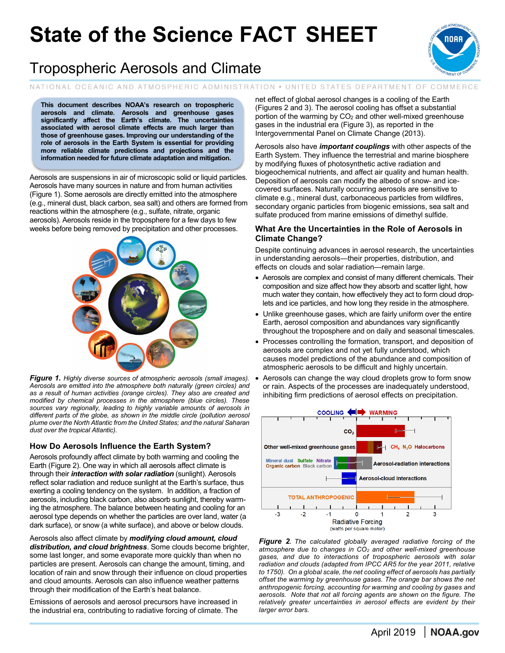# **State of the Science FACT SHEET**



## Tropospheric Aerosols and Climate

NATIONAL OCEANIC AND ATMOSPHERIC ADMINISTRATION . UNITED STATES DEPARTMENT OF COMMERCE

**This document describes NOAA's research on tropospheric aerosols and climate. Aerosols and greenhouse gases significantly affect the Earth's climate. The uncertainties associated with aerosol climate effects are much larger than those of greenhouse gases. Improving our understanding of the role of aerosols in the Earth System is essential for providing more reliable climate predictions and projections and the information needed for future climate adaptation and mitigation.**

Aerosols are suspensions in air of microscopic solid or liquid particles. Aerosols have many sources in nature and from human activities (Figure 1). Some aerosols are directly emitted into the atmosphere (e.g., mineral dust, black carbon, sea salt) and others are formed from reactions within the atmosphere (e.g., sulfate, nitrate, organic aerosols). Aerosols reside in the troposphere for a few days to few weeks before being removed by precipitation and other processes.



*Figure 1. Highly diverse sources of atmospheric aerosols (small images). Aerosols are emitted into the atmosphere both naturally (green circles) and as a result of human activities (orange circles). They also are created and modified by chemical processes in the atmosphere (blue circles). These sources vary regionally, leading to highly variable amounts of aerosols in different parts of the globe, as shown in the middle circle (pollution aerosol plume over the North Atlantic from the United States; and the natural Saharan dust over the tropical Atlantic).*

### **How Do Aerosols Influence the Earth System?**

Aerosols profoundly affect climate by both warming and cooling the Earth (Figure 2). One way in which all aerosols affect climate is through their *interaction with solar radiation* (sunlight). Aerosols reflect solar radiation and reduce sunlight at the Earth's surface, thus exerting a cooling tendency on the system. In addition, a fraction of aerosols, including black carbon, also absorb sunlight, thereby warming the atmosphere. The balance between heating and cooling for an aerosol type depends on whether the particles are over land, water (a dark surface), or snow (a white surface), and above or below clouds.

Aerosols also affect climate by *modifying cloud amount, cloud distribution, and cloud brightness*. Some clouds become brighter, some last longer, and some evaporate more quickly than when no particles are present. Aerosols can change the amount, timing, and location of rain and snow through their influence on cloud properties and cloud amounts. Aerosols can also influence weather patterns through their modification of the Earth's heat balance.

Emissions of aerosols and aerosol precursors have increased in the industrial era, contributing to radiative forcing of climate. The net effect of global aerosol changes is a cooling of the Earth (Figures 2 and 3). The aerosol cooling has offset a substantial portion of the warming by  $CO<sub>2</sub>$  and other well-mixed greenhouse gases in the industrial era (Figure 3), as reported in the Intergovernmental Panel on Climate Change (2013).

Aerosols also have *important couplings* with other aspects of the Earth System. They influence the terrestrial and marine biosphere by modifying fluxes of photosynthetic active radiation and biogeochemical nutrients, and affect air quality and human health. Deposition of aerosols can modify the albedo of snow- and icecovered surfaces. Naturally occurring aerosols are sensitive to climate e.g., mineral dust, carbonaceous particles from wildfires, secondary organic particles from biogenic emissions, sea salt and sulfate produced from marine emissions of dimethyl sulfide.

#### **What Are the Uncertainties in the Role of Aerosols in Climate Change?**

Despite continuing advances in aerosol research, the uncertainties in understanding aerosols—their properties, distribution, and effects on clouds and solar radiation—remain large.

- Aerosols are complex and consist of many different chemicals. Their composition and size affect how they absorb and scatter light, how much water they contain, how effectively they act to form cloud droplets and ice particles, and how long they reside in the atmosphere.
- Unlike greenhouse gases, which are fairly uniform over the entire Earth, aerosol composition and abundances vary significantly throughout the troposphere and on daily and seasonal timescales.
- Processes controlling the formation, transport, and deposition of aerosols are complex and not yet fully understood, which causes model predictions of the abundance and composition of atmospheric aerosols to be difficult and highly uncertain.
- Aerosols can change the way cloud droplets grow to form snow or rain. Aspects of the processes are inadequately understood, inhibiting firm predictions of aerosol effects on precipitation.



*Figure 2. The calculated globally averaged radiative forcing of the atmosphere due to changes in CO2 and other well-mixed greenhouse gases, and due to interactions of tropospheric aerosols with solar radiation and clouds (adapted from IPCC AR5 for the year 2011, relative to 1750). On a global scale, the net cooling effect of aerosols has partially offset the warming by greenhouse gases. The orange bar shows the net anthropogenic forcing, accounting for warming and cooling by gases and aerosols. Note that not all forcing agents are shown on the figure. The relatively greater uncertainties in aerosol effects are evident by their larger error bars.*